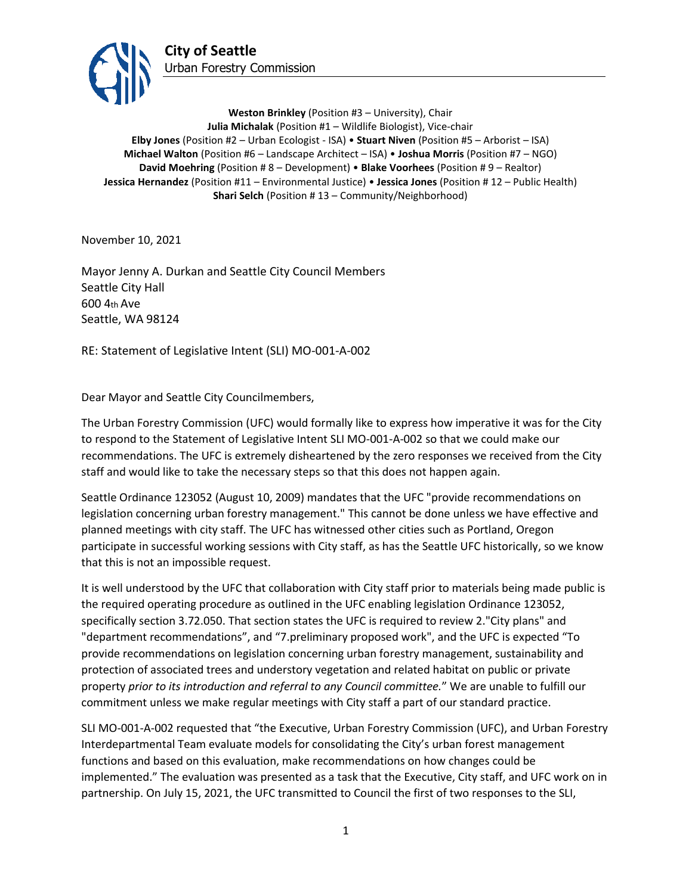

**Weston Brinkley** (Position #3 – University), Chair **Julia Michalak** (Position #1 – Wildlife Biologist), Vice-chair **Elby Jones** (Position #2 – Urban Ecologist - ISA) • **Stuart Niven** (Position #5 – Arborist – ISA) **Michael Walton** (Position #6 – Landscape Architect – ISA) • **Joshua Morris** (Position #7 – NGO) **David Moehring** (Position # 8 – Development) • **Blake Voorhees** (Position # 9 – Realtor) **Jessica Hernandez** (Position #11 – Environmental Justice) • **Jessica Jones** (Position # 12 – Public Health) **Shari Selch** (Position #13 – Community/Neighborhood)

November 10, 2021

Mayor Jenny A. Durkan and Seattle City Council Members Seattle City Hall 600 4th Ave Seattle, WA 98124

RE: Statement of Legislative Intent (SLI) MO-001-A-002

Dear Mayor and Seattle City Councilmembers,

The Urban Forestry Commission (UFC) would formally like to express how imperative it was for the City to respond to the Statement of Legislative Intent SLI MO-001-A-002 so that we could make our recommendations. The UFC is extremely disheartened by the zero responses we received from the City staff and would like to take the necessary steps so that this does not happen again.

Seattle Ordinance 123052 (August 10, 2009) mandates that the UFC "provide recommendations on legislation concerning urban forestry management." This cannot be done unless we have effective and planned meetings with city staff. The UFC has witnessed other cities such as Portland, Oregon participate in successful working sessions with City staff, as has the Seattle UFC historically, so we know that this is not an impossible request.

It is well understood by the UFC that collaboration with City staff prior to materials being made public is the required operating procedure as outlined in the UFC enabling legislation Ordinance 123052, specifically section 3.72.050. That section states the UFC is required to review 2."City plans" and "department recommendations", and "7.preliminary proposed work", and the UFC is expected "To provide recommendations on legislation concerning urban forestry management, sustainability and protection of associated trees and understory vegetation and related habitat on public or private property *prior to its introduction and referral to any Council committee.*" We are unable to fulfill our commitment unless we make regular meetings with City staff a part of our standard practice.

SLI MO-001-A-002 requested that "the Executive, Urban Forestry Commission (UFC), and Urban Forestry Interdepartmental Team evaluate models for consolidating the City's urban forest management functions and based on this evaluation, make recommendations on how changes could be implemented." The evaluation was presented as a task that the Executive, City staff, and UFC work on in partnership. On July 15, 2021, the UFC transmitted to Council the first of two responses to the SLI,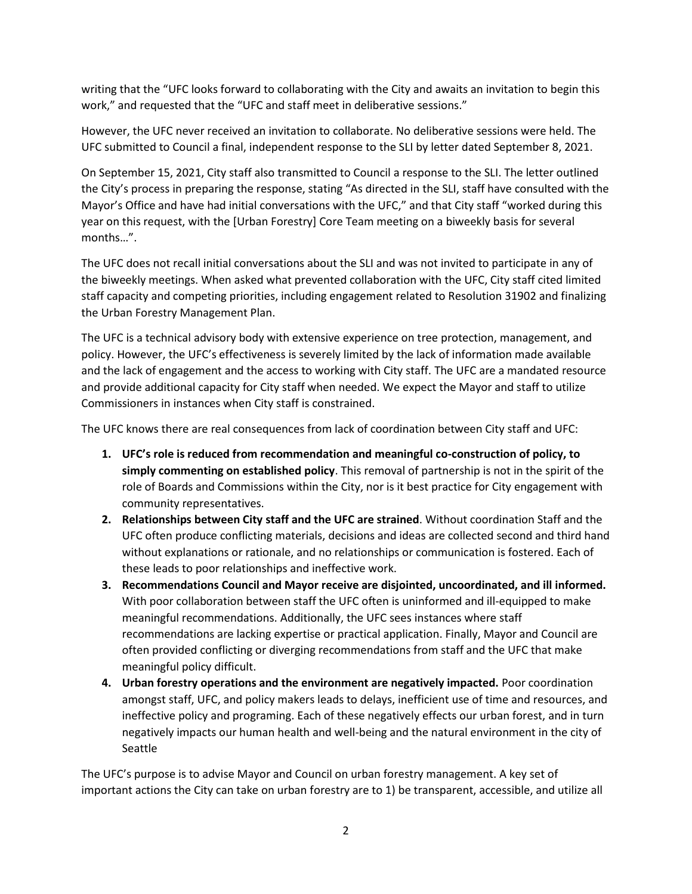writing that the "UFC looks forward to collaborating with the City and awaits an invitation to begin this work," and requested that the "UFC and staff meet in deliberative sessions."

However, the UFC never received an invitation to collaborate. No deliberative sessions were held. The UFC submitted to Council a final, independent response to the SLI by letter dated September 8, 2021.

On September 15, 2021, City staff also transmitted to Council a response to the SLI. The letter outlined the City's process in preparing the response, stating "As directed in the SLI, staff have consulted with the Mayor's Office and have had initial conversations with the UFC," and that City staff "worked during this year on this request, with the [Urban Forestry] Core Team meeting on a biweekly basis for several months…".

The UFC does not recall initial conversations about the SLI and was not invited to participate in any of the biweekly meetings. When asked what prevented collaboration with the UFC, City staff cited limited staff capacity and competing priorities, including engagement related to Resolution 31902 and finalizing the Urban Forestry Management Plan.

The UFC is a technical advisory body with extensive experience on tree protection, management, and policy. However, the UFC's effectiveness is severely limited by the lack of information made available and the lack of engagement and the access to working with City staff. The UFC are a mandated resource and provide additional capacity for City staff when needed. We expect the Mayor and staff to utilize Commissioners in instances when City staff is constrained.

The UFC knows there are real consequences from lack of coordination between City staff and UFC:

- **1. UFC's role is reduced from recommendation and meaningful co-construction of policy, to simply commenting on established policy**. This removal of partnership is not in the spirit of the role of Boards and Commissions within the City, nor is it best practice for City engagement with community representatives.
- **2. Relationships between City staff and the UFC are strained**. Without coordination Staff and the UFC often produce conflicting materials, decisions and ideas are collected second and third hand without explanations or rationale, and no relationships or communication is fostered. Each of these leads to poor relationships and ineffective work.
- **3. Recommendations Council and Mayor receive are disjointed, uncoordinated, and ill informed.**  With poor collaboration between staff the UFC often is uninformed and ill-equipped to make meaningful recommendations. Additionally, the UFC sees instances where staff recommendations are lacking expertise or practical application. Finally, Mayor and Council are often provided conflicting or diverging recommendations from staff and the UFC that make meaningful policy difficult.
- **4. Urban forestry operations and the environment are negatively impacted.** Poor coordination amongst staff, UFC, and policy makers leads to delays, inefficient use of time and resources, and ineffective policy and programing. Each of these negatively effects our urban forest, and in turn negatively impacts our human health and well-being and the natural environment in the city of Seattle

The UFC's purpose is to advise Mayor and Council on urban forestry management. A key set of important actions the City can take on urban forestry are to 1) be transparent, accessible, and utilize all